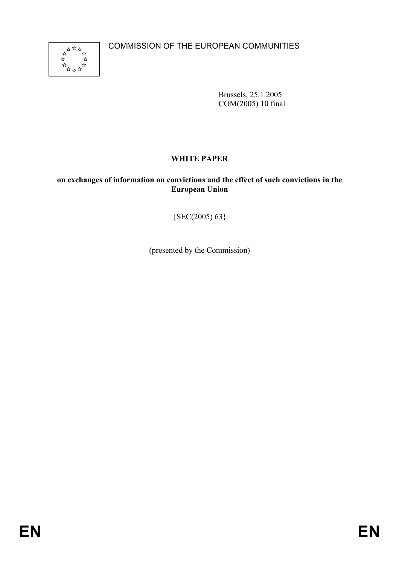COMMISSION OF THE EUROPEAN COMMUNITIES



Brussels, 25.1.2005 COM(2005) 10 final

# **WHITE PAPER**

### **on exchanges of information on convictions and the effect of such convictions in the European Union**

 ${SEC(2005) 63}$ 

(presented by the Commission)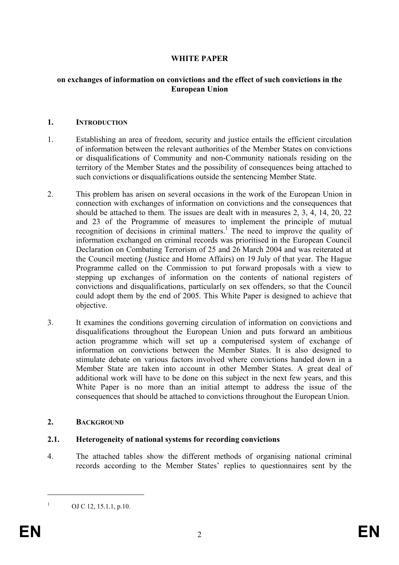# **WHITE PAPER**

#### **on exchanges of information on convictions and the effect of such convictions in the European Union**

#### **1. INTRODUCTION**

- 1. Establishing an area of freedom, security and justice entails the efficient circulation of information between the relevant authorities of the Member States on convictions or disqualifications of Community and non-Community nationals residing on the territory of the Member States and the possibility of consequences being attached to such convictions or disqualifications outside the sentencing Member State.
- 2. This problem has arisen on several occasions in the work of the European Union in connection with exchanges of information on convictions and the consequences that should be attached to them. The issues are dealt with in measures 2, 3, 4, 14, 20, 22 and 23 of the Programme of measures to implement the principle of mutual recognition of decisions in criminal matters.<sup>1</sup> The need to improve the quality of information exchanged on criminal records was prioritised in the European Council Declaration on Combating Terrorism of 25 and 26 March 2004 and was reiterated at the Council meeting (Justice and Home Affairs) on 19 July of that year. The Hague Programme called on the Commission to put forward proposals with a view to stepping up exchanges of information on the contents of national registers of convictions and disqualifications, particularly on sex offenders, so that the Council could adopt them by the end of 2005. This White Paper is designed to achieve that objective.
- 3. It examines the conditions governing circulation of information on convictions and disqualifications throughout the European Union and puts forward an ambitious action programme which will set up a computerised system of exchange of information on convictions between the Member States. It is also designed to stimulate debate on various factors involved where convictions handed down in a Member State are taken into account in other Member States. A great deal of additional work will have to be done on this subject in the next few years, and this White Paper is no more than an initial attempt to address the issue of the consequences that should be attached to convictions throughout the European Union.

#### **2. BACKGROUND**

#### **2.1. Heterogeneity of national systems for recording convictions**

4. The attached tables show the different methods of organising national criminal records according to the Member States' replies to questionnaires sent by the

1 1

OJ C 12, 15.1.1, p.10.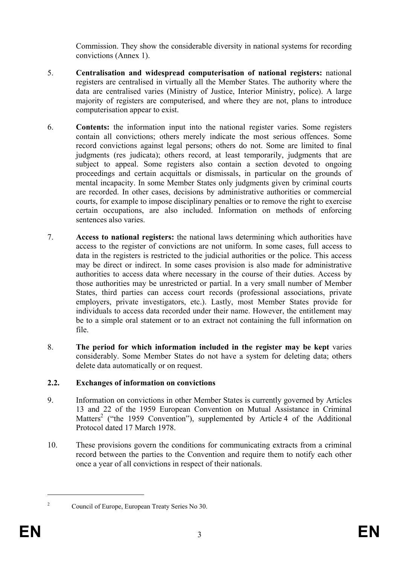Commission. They show the considerable diversity in national systems for recording convictions (Annex 1).

- 5. **Centralisation and widespread computerisation of national registers:** national registers are centralised in virtually all the Member States. The authority where the data are centralised varies (Ministry of Justice, Interior Ministry, police). A large majority of registers are computerised, and where they are not, plans to introduce computerisation appear to exist.
- 6. **Contents:** the information input into the national register varies. Some registers contain all convictions; others merely indicate the most serious offences. Some record convictions against legal persons; others do not. Some are limited to final judgments (res judicata); others record, at least temporarily, judgments that are subject to appeal. Some registers also contain a section devoted to ongoing proceedings and certain acquittals or dismissals, in particular on the grounds of mental incapacity. In some Member States only judgments given by criminal courts are recorded. In other cases, decisions by administrative authorities or commercial courts, for example to impose disciplinary penalties or to remove the right to exercise certain occupations, are also included. Information on methods of enforcing sentences also varies.
- 7. **Access to national registers:** the national laws determining which authorities have access to the register of convictions are not uniform. In some cases, full access to data in the registers is restricted to the judicial authorities or the police. This access may be direct or indirect. In some cases provision is also made for administrative authorities to access data where necessary in the course of their duties. Access by those authorities may be unrestricted or partial. In a very small number of Member States, third parties can access court records (professional associations, private employers, private investigators, etc.). Lastly, most Member States provide for individuals to access data recorded under their name. However, the entitlement may be to a simple oral statement or to an extract not containing the full information on file.
- 8. **The period for which information included in the register may be kept** varies considerably. Some Member States do not have a system for deleting data; others delete data automatically or on request.

# **2.2. Exchanges of information on convictions**

- 9. Information on convictions in other Member States is currently governed by Articles 13 and 22 of the 1959 European Convention on Mutual Assistance in Criminal Matters<sup>2</sup> ("the 1959 Convention"), supplemented by Article 4 of the Additional Protocol dated 17 March 1978.
- 10. These provisions govern the conditions for communicating extracts from a criminal record between the parties to the Convention and require them to notify each other once a year of all convictions in respect of their nationals.

<sup>1</sup> 2

Council of Europe, European Treaty Series No 30.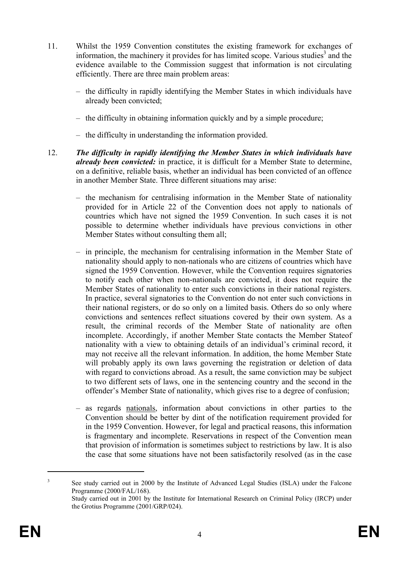- 11. Whilst the 1959 Convention constitutes the existing framework for exchanges of information, the machinery it provides for has limited scope. Various studies<sup>3</sup> and the evidence available to the Commission suggest that information is not circulating efficiently. There are three main problem areas:
	- the difficulty in rapidly identifying the Member States in which individuals have already been convicted;
	- the difficulty in obtaining information quickly and by a simple procedure;
	- the difficulty in understanding the information provided.
- 12. *The difficulty in rapidly identifying the Member States in which individuals have already been convicted:* in practice, it is difficult for a Member State to determine, on a definitive, reliable basis, whether an individual has been convicted of an offence in another Member State. Three different situations may arise:
	- the mechanism for centralising information in the Member State of nationality provided for in Article 22 of the Convention does not apply to nationals of countries which have not signed the 1959 Convention. In such cases it is not possible to determine whether individuals have previous convictions in other Member States without consulting them all;
	- in principle, the mechanism for centralising information in the Member State of nationality should apply to non-nationals who are citizens of countries which have signed the 1959 Convention. However, while the Convention requires signatories to notify each other when non-nationals are convicted, it does not require the Member States of nationality to enter such convictions in their national registers. In practice, several signatories to the Convention do not enter such convictions in their national registers, or do so only on a limited basis. Others do so only where convictions and sentences reflect situations covered by their own system. As a result, the criminal records of the Member State of nationality are often incomplete. Accordingly, if another Member State contacts the Member Stateof nationality with a view to obtaining details of an individual's criminal record, it may not receive all the relevant information. In addition, the home Member State will probably apply its own laws governing the registration or deletion of data with regard to convictions abroad. As a result, the same conviction may be subject to two different sets of laws, one in the sentencing country and the second in the offender's Member State of nationality, which gives rise to a degree of confusion;
	- as regards nationals, information about convictions in other parties to the Convention should be better by dint of the notification requirement provided for in the 1959 Convention. However, for legal and practical reasons, this information is fragmentary and incomplete. Reservations in respect of the Convention mean that provision of information is sometimes subject to restrictions by law. It is also the case that some situations have not been satisfactorily resolved (as in the case

1

<sup>3</sup> See study carried out in 2000 by the Institute of Advanced Legal Studies (ISLA) under the Falcone Programme (2000/FAL/168). Study carried out in 2001 by the Institute for International Research on Criminal Policy (IRCP) under the Grotius Programme (2001/GRP/024).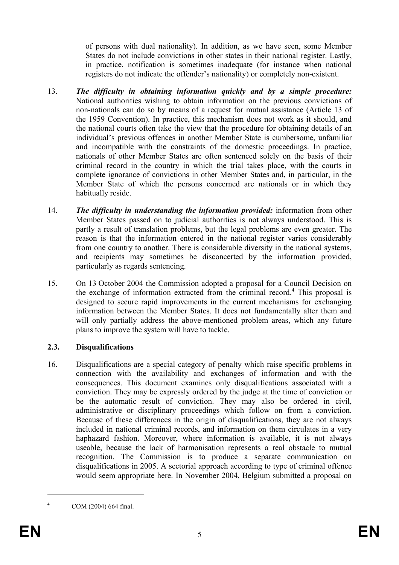of persons with dual nationality). In addition, as we have seen, some Member States do not include convictions in other states in their national register. Lastly, in practice, notification is sometimes inadequate (for instance when national registers do not indicate the offender's nationality) or completely non-existent.

- 13. *The difficulty in obtaining information quickly and by a simple procedure:*  National authorities wishing to obtain information on the previous convictions of non-nationals can do so by means of a request for mutual assistance (Article 13 of the 1959 Convention). In practice, this mechanism does not work as it should, and the national courts often take the view that the procedure for obtaining details of an individual's previous offences in another Member State is cumbersome, unfamiliar and incompatible with the constraints of the domestic proceedings. In practice, nationals of other Member States are often sentenced solely on the basis of their criminal record in the country in which the trial takes place, with the courts in complete ignorance of convictions in other Member States and, in particular, in the Member State of which the persons concerned are nationals or in which they habitually reside.
- 14. *The difficulty in understanding the information provided:* information from other Member States passed on to judicial authorities is not always understood. This is partly a result of translation problems, but the legal problems are even greater. The reason is that the information entered in the national register varies considerably from one country to another. There is considerable diversity in the national systems, and recipients may sometimes be disconcerted by the information provided, particularly as regards sentencing.
- 15. On 13 October 2004 the Commission adopted a proposal for a Council Decision on the exchange of information extracted from the criminal record.<sup>4</sup> This proposal is designed to secure rapid improvements in the current mechanisms for exchanging information between the Member States. It does not fundamentally alter them and will only partially address the above-mentioned problem areas, which any future plans to improve the system will have to tackle.

# **2.3. Disqualifications**

16. Disqualifications are a special category of penalty which raise specific problems in connection with the availability and exchanges of information and with the consequences. This document examines only disqualifications associated with a conviction. They may be expressly ordered by the judge at the time of conviction or be the automatic result of conviction. They may also be ordered in civil, administrative or disciplinary proceedings which follow on from a conviction. Because of these differences in the origin of disqualifications, they are not always included in national criminal records, and information on them circulates in a very haphazard fashion. Moreover, where information is available, it is not always useable, because the lack of harmonisation represents a real obstacle to mutual recognition. The Commission is to produce a separate communication on disqualifications in 2005. A sectorial approach according to type of criminal offence would seem appropriate here. In November 2004, Belgium submitted a proposal on

4

1

COM (2004) 664 final.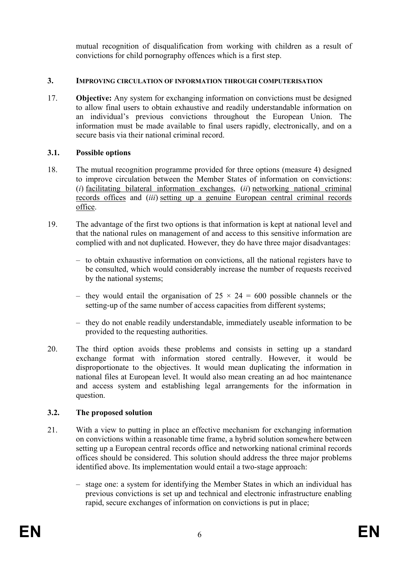mutual recognition of disqualification from working with children as a result of convictions for child pornography offences which is a first step.

### **3. IMPROVING CIRCULATION OF INFORMATION THROUGH COMPUTERISATION**

17. **Objective:** Any system for exchanging information on convictions must be designed to allow final users to obtain exhaustive and readily understandable information on an individual's previous convictions throughout the European Union. The information must be made available to final users rapidly, electronically, and on a secure basis via their national criminal record.

#### **3.1. Possible options**

- 18. The mutual recognition programme provided for three options (measure 4) designed to improve circulation between the Member States of information on convictions: (*i*) facilitating bilateral information exchanges, (*ii*) networking national criminal records offices and (*iii*) setting up a genuine European central criminal records office.
- 19. The advantage of the first two options is that information is kept at national level and that the national rules on management of and access to this sensitive information are complied with and not duplicated. However, they do have three major disadvantages:
	- to obtain exhaustive information on convictions, all the national registers have to be consulted, which would considerably increase the number of requests received by the national systems;
	- they would entail the organisation of  $25 \times 24 = 600$  possible channels or the setting-up of the same number of access capacities from different systems;
	- they do not enable readily understandable, immediately useable information to be provided to the requesting authorities.
- 20. The third option avoids these problems and consists in setting up a standard exchange format with information stored centrally. However, it would be disproportionate to the objectives. It would mean duplicating the information in national files at European level. It would also mean creating an ad hoc maintenance and access system and establishing legal arrangements for the information in question.

# **3.2. The proposed solution**

- 21. With a view to putting in place an effective mechanism for exchanging information on convictions within a reasonable time frame, a hybrid solution somewhere between setting up a European central records office and networking national criminal records offices should be considered. This solution should address the three major problems identified above. Its implementation would entail a two-stage approach:
	- stage one: a system for identifying the Member States in which an individual has previous convictions is set up and technical and electronic infrastructure enabling rapid, secure exchanges of information on convictions is put in place;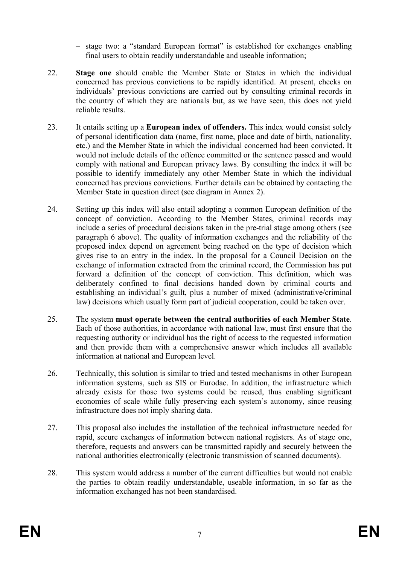– stage two: a "standard European format" is established for exchanges enabling final users to obtain readily understandable and useable information;

- 22. **Stage one** should enable the Member State or States in which the individual concerned has previous convictions to be rapidly identified. At present, checks on individuals' previous convictions are carried out by consulting criminal records in the country of which they are nationals but, as we have seen, this does not yield reliable results.
- 23. It entails setting up a **European index of offenders.** This index would consist solely of personal identification data (name, first name, place and date of birth, nationality, etc.) and the Member State in which the individual concerned had been convicted. It would not include details of the offence committed or the sentence passed and would comply with national and European privacy laws. By consulting the index it will be possible to identify immediately any other Member State in which the individual concerned has previous convictions. Further details can be obtained by contacting the Member State in question direct (see diagram in Annex 2).
- 24. Setting up this index will also entail adopting a common European definition of the concept of conviction. According to the Member States, criminal records may include a series of procedural decisions taken in the pre-trial stage among others (see paragraph 6 above). The quality of information exchanges and the reliability of the proposed index depend on agreement being reached on the type of decision which gives rise to an entry in the index. In the proposal for a Council Decision on the exchange of information extracted from the criminal record, the Commission has put forward a definition of the concept of conviction. This definition, which was deliberately confined to final decisions handed down by criminal courts and establishing an individual's guilt, plus a number of mixed (administrative/criminal law) decisions which usually form part of judicial cooperation, could be taken over.
- 25. The system **must operate between the central authorities of each Member State**. Each of those authorities, in accordance with national law, must first ensure that the requesting authority or individual has the right of access to the requested information and then provide them with a comprehensive answer which includes all available information at national and European level.
- 26. Technically, this solution is similar to tried and tested mechanisms in other European information systems, such as SIS or Eurodac. In addition, the infrastructure which already exists for those two systems could be reused, thus enabling significant economies of scale while fully preserving each system's autonomy, since reusing infrastructure does not imply sharing data.
- 27. This proposal also includes the installation of the technical infrastructure needed for rapid, secure exchanges of information between national registers. As of stage one, therefore, requests and answers can be transmitted rapidly and securely between the national authorities electronically (electronic transmission of scanned documents).
- 28. This system would address a number of the current difficulties but would not enable the parties to obtain readily understandable, useable information, in so far as the information exchanged has not been standardised.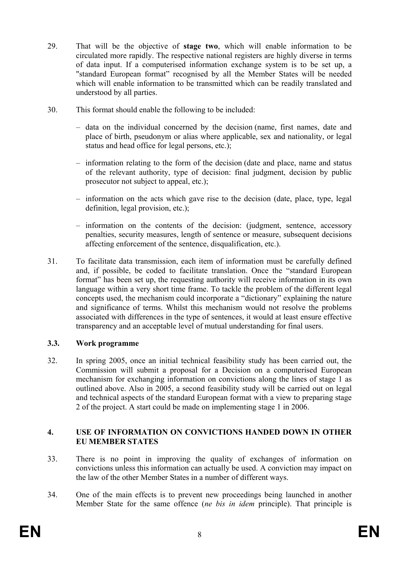- 29. That will be the objective of **stage two**, which will enable information to be circulated more rapidly. The respective national registers are highly diverse in terms of data input. If a computerised information exchange system is to be set up, a "standard European format" recognised by all the Member States will be needed which will enable information to be transmitted which can be readily translated and understood by all parties.
- 30. This format should enable the following to be included:
	- data on the individual concerned by the decision (name, first names, date and place of birth, pseudonym or alias where applicable, sex and nationality, or legal status and head office for legal persons, etc.);
	- information relating to the form of the decision (date and place, name and status of the relevant authority, type of decision: final judgment, decision by public prosecutor not subject to appeal, etc.);
	- information on the acts which gave rise to the decision (date, place, type, legal definition, legal provision, etc.);
	- information on the contents of the decision: (judgment, sentence, accessory penalties, security measures, length of sentence or measure, subsequent decisions affecting enforcement of the sentence, disqualification, etc.).
- 31. To facilitate data transmission, each item of information must be carefully defined and, if possible, be coded to facilitate translation. Once the "standard European format" has been set up, the requesting authority will receive information in its own language within a very short time frame. To tackle the problem of the different legal concepts used, the mechanism could incorporate a "dictionary" explaining the nature and significance of terms. Whilst this mechanism would not resolve the problems associated with differences in the type of sentences, it would at least ensure effective transparency and an acceptable level of mutual understanding for final users.

# **3.3. Work programme**

32. In spring 2005, once an initial technical feasibility study has been carried out, the Commission will submit a proposal for a Decision on a computerised European mechanism for exchanging information on convictions along the lines of stage 1 as outlined above. Also in 2005, a second feasibility study will be carried out on legal and technical aspects of the standard European format with a view to preparing stage 2 of the project. A start could be made on implementing stage 1 in 2006.

#### **4. USE OF INFORMATION ON CONVICTIONS HANDED DOWN IN OTHER EU MEMBER STATES**

- 33. There is no point in improving the quality of exchanges of information on convictions unless this information can actually be used. A conviction may impact on the law of the other Member States in a number of different ways.
- 34. One of the main effects is to prevent new proceedings being launched in another Member State for the same offence (*ne bis in idem* principle). That principle is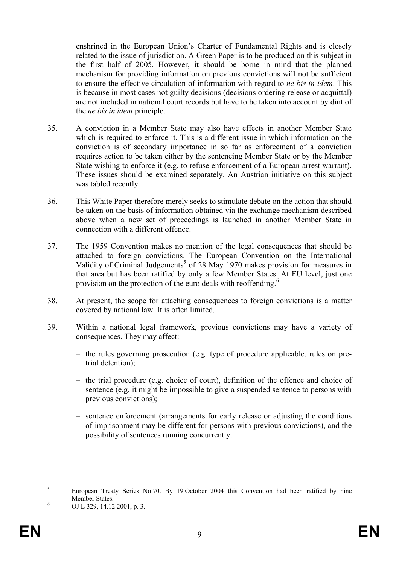enshrined in the European Union's Charter of Fundamental Rights and is closely related to the issue of jurisdiction. A Green Paper is to be produced on this subject in the first half of 2005. However, it should be borne in mind that the planned mechanism for providing information on previous convictions will not be sufficient to ensure the effective circulation of information with regard to *ne bis in idem*. This is because in most cases not guilty decisions (decisions ordering release or acquittal) are not included in national court records but have to be taken into account by dint of the *ne bis in idem* principle.

- 35. A conviction in a Member State may also have effects in another Member State which is required to enforce it. This is a different issue in which information on the conviction is of secondary importance in so far as enforcement of a conviction requires action to be taken either by the sentencing Member State or by the Member State wishing to enforce it (e.g. to refuse enforcement of a European arrest warrant). These issues should be examined separately. An Austrian initiative on this subject was tabled recently.
- 36. This White Paper therefore merely seeks to stimulate debate on the action that should be taken on the basis of information obtained via the exchange mechanism described above when a new set of proceedings is launched in another Member State in connection with a different offence.
- 37. The 1959 Convention makes no mention of the legal consequences that should be attached to foreign convictions. The European Convention on the International Validity of Criminal Judgements<sup>5</sup> of 28 May 1970 makes provision for measures in that area but has been ratified by only a few Member States. At EU level, just one provision on the protection of the euro deals with reoffending.<sup>6</sup>
- 38. At present, the scope for attaching consequences to foreign convictions is a matter covered by national law. It is often limited.
- 39. Within a national legal framework, previous convictions may have a variety of consequences. They may affect:
	- the rules governing prosecution (e.g. type of procedure applicable, rules on pretrial detention);
	- the trial procedure (e.g. choice of court), definition of the offence and choice of sentence (e.g. it might be impossible to give a suspended sentence to persons with previous convictions);
	- sentence enforcement (arrangements for early release or adjusting the conditions of imprisonment may be different for persons with previous convictions), and the possibility of sentences running concurrently.

<u>.</u>

<sup>5</sup> European Treaty Series No 70. By 19 October 2004 this Convention had been ratified by nine Member States.

OJ L 329, 14.12.2001, p. 3.